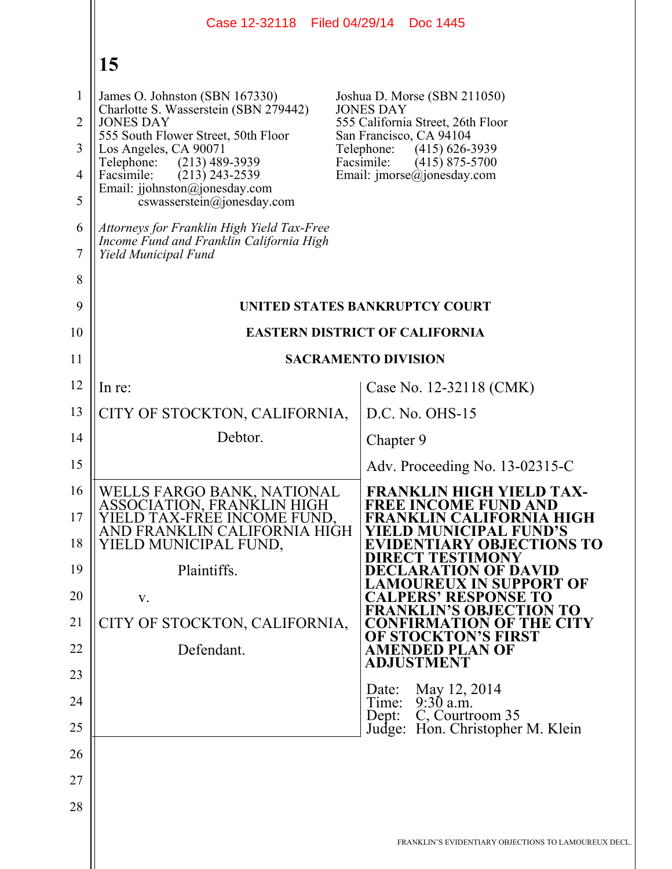|                                                                 | Case 12-32118 Filed 04/29/14 Doc 1445                                                                                                                                                                                                                                                                                                                                                    |                                                                                                                                                                                                                                |
|-----------------------------------------------------------------|------------------------------------------------------------------------------------------------------------------------------------------------------------------------------------------------------------------------------------------------------------------------------------------------------------------------------------------------------------------------------------------|--------------------------------------------------------------------------------------------------------------------------------------------------------------------------------------------------------------------------------|
|                                                                 | 15                                                                                                                                                                                                                                                                                                                                                                                       |                                                                                                                                                                                                                                |
| $\mathbf{1}$<br>$\overline{2}$<br>3<br>$\overline{4}$<br>5<br>6 | James O. Johnston (SBN 167330)<br>Charlotte S. Wasserstein (SBN 279442)<br><b>JONES DAY</b><br>555 South Flower Street, 50th Floor<br>Los Angeles, CA 90071<br>Telephone:<br>$(213)$ 489-3939<br>Facsimile:<br>$(213)$ 243-2539<br>Email: jjohnston@jonesday.com<br>cswasserstein@jonesday.com<br>Attorneys for Franklin High Yield Tax-Free<br>Income Fund and Franklin California High | Joshua D. Morse (SBN 211050)<br><b>JONES DAY</b><br>555 California Street, 26th Floor<br>San Francisco, CA 94104<br>$(415)$ 626-3939<br>Telephone:<br>Facsimile:<br>$(415)$ 875-5700<br>Email: $\text{imorse}(a)$ jonesday.com |
| $\tau$                                                          | Yield Municipal Fund                                                                                                                                                                                                                                                                                                                                                                     |                                                                                                                                                                                                                                |
| 8<br>9                                                          |                                                                                                                                                                                                                                                                                                                                                                                          | UNITED STATES BANKRUPTCY COURT                                                                                                                                                                                                 |
| 10                                                              |                                                                                                                                                                                                                                                                                                                                                                                          | <b>EASTERN DISTRICT OF CALIFORNIA</b>                                                                                                                                                                                          |
| 11                                                              |                                                                                                                                                                                                                                                                                                                                                                                          | <b>SACRAMENTO DIVISION</b>                                                                                                                                                                                                     |
| 12                                                              | In re:                                                                                                                                                                                                                                                                                                                                                                                   | Case No. 12-32118 (CMK)                                                                                                                                                                                                        |
| 13                                                              | CITY OF STOCKTON, CALIFORNIA,                                                                                                                                                                                                                                                                                                                                                            | D.C. No. OHS-15                                                                                                                                                                                                                |
| 14                                                              | Debtor.                                                                                                                                                                                                                                                                                                                                                                                  | Chapter 9                                                                                                                                                                                                                      |
| 15                                                              |                                                                                                                                                                                                                                                                                                                                                                                          | Adv. Proceeding No. 13-02315-C                                                                                                                                                                                                 |
| 16<br>17<br>18                                                  | WELLS FARGO BANK, NATIONAL<br>ASSOCIATION, FRANKLIN HIGH<br>YIELD TAX-FREE INCOME FUND.<br>AND FRANKLIN CALIFORNIA HIGH<br>YIELD MUNICIPAL FUND,                                                                                                                                                                                                                                         | <b>FRANKLIN HIGH YIELD TAX-</b><br><b>FREE INCOME FUND AND</b><br>FRANKLIN CALIFORNIA HIGH<br>ELD MUNICIPAL FUND'S<br><b>EVIDENTIARY OBJECTIONS TO</b><br>IRECT TESTIMONY                                                      |
| 19<br>20                                                        | Plaintiffs.<br>V.                                                                                                                                                                                                                                                                                                                                                                        | DECLARATION OF DAVID<br>UREUX IN SUPPORT OF<br><b>CALPERS' RESPONSE TO</b>                                                                                                                                                     |
| 21                                                              | CITY OF STOCKTON, CALIFORNIA,                                                                                                                                                                                                                                                                                                                                                            | <b>FRANKLIN'S OBJECTION TO</b><br><b>CONFIRMATION OF THE CITY</b>                                                                                                                                                              |
| 22                                                              | Defendant.                                                                                                                                                                                                                                                                                                                                                                               | <b>OF STOCKTON'S FIRST</b><br><b>AMENDED PLAN OF</b>                                                                                                                                                                           |
| 23                                                              |                                                                                                                                                                                                                                                                                                                                                                                          | <b>ADJUSTMENT</b>                                                                                                                                                                                                              |
| 24                                                              |                                                                                                                                                                                                                                                                                                                                                                                          | May 12, 2014<br>Date:<br>$9:30$ a.m.<br>Time:<br>C, Courtroom 35<br>Dept:                                                                                                                                                      |
| 25                                                              |                                                                                                                                                                                                                                                                                                                                                                                          | Judge: Hon. Christopher M. Klein                                                                                                                                                                                               |
| 26                                                              |                                                                                                                                                                                                                                                                                                                                                                                          |                                                                                                                                                                                                                                |
| 27                                                              |                                                                                                                                                                                                                                                                                                                                                                                          |                                                                                                                                                                                                                                |
| 28                                                              |                                                                                                                                                                                                                                                                                                                                                                                          |                                                                                                                                                                                                                                |
|                                                                 |                                                                                                                                                                                                                                                                                                                                                                                          | FRANKLIN'S EVIDENTIARY OBJECTIONS TO LAMOUREUX DECL.                                                                                                                                                                           |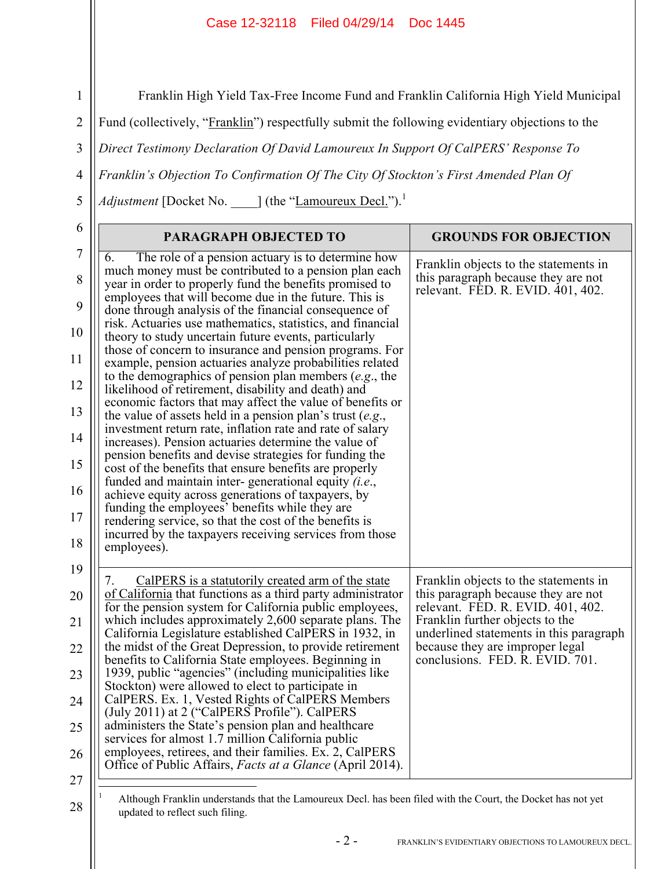Franklin High Yield Tax-Free Income Fund and Franklin California High Yield Municipal

2 Fund (collectively, "Franklin") respectfully submit the following evidentiary objections to the

3 *Direct Testimony Declaration Of David Lamoureux In Support Of CalPERS' Response To* 

*Franklin's Objection To Confirmation Of The City Of Stockton's First Amended Plan Of* 

*Adjustment* [Docket No. \_\_\_\_] (the "Lamoureux Decl.").<sup>1</sup>

| 6                     | PARAGRAPH OBJECTED TO                                                                                                                                                                  | <b>GROUNDS FOR OBJECTION</b>                                                                                      |
|-----------------------|----------------------------------------------------------------------------------------------------------------------------------------------------------------------------------------|-------------------------------------------------------------------------------------------------------------------|
| $\boldsymbol{7}$<br>8 | The role of a pension actuary is to determine how<br>6.<br>much money must be contributed to a pension plan each<br>year in order to properly fund the benefits promised to            | Franklin objects to the statements in<br>this paragraph because they are not<br>relevant. FED. R. EVID. 401, 402. |
| 9                     | employees that will become due in the future. This is<br>done through analysis of the financial consequence of                                                                         |                                                                                                                   |
| 10                    | risk. Actuaries use mathematics, statistics, and financial<br>theory to study uncertain future events, particularly                                                                    |                                                                                                                   |
| 11                    | those of concern to insurance and pension programs. For<br>example, pension actuaries analyze probabilities related                                                                    |                                                                                                                   |
| 12                    | to the demographics of pension plan members $(e.g., the)$<br>likelihood of retirement, disability and death) and                                                                       |                                                                                                                   |
| 13                    | economic factors that may affect the value of benefits or<br>the value of assets held in a pension plan's trust $(e.g.,)$<br>investment return rate, inflation rate and rate of salary |                                                                                                                   |
| 14                    | increases). Pension actuaries determine the value of<br>pension benefits and devise strategies for funding the                                                                         |                                                                                                                   |
| 15                    | cost of the benefits that ensure benefits are properly<br>funded and maintain inter-generational equity $(i.e.,$                                                                       |                                                                                                                   |
| 16                    | achieve equity across generations of taxpayers, by<br>funding the employees' benefits while they are                                                                                   |                                                                                                                   |
| 17                    | rendering service, so that the cost of the benefits is<br>incurred by the taxpayers receiving services from those                                                                      |                                                                                                                   |
| 18                    | employees).                                                                                                                                                                            |                                                                                                                   |
| 19                    | CalPERS is a statutorily created arm of the state<br>7.                                                                                                                                | Franklin objects to the statements in                                                                             |
| 20                    | of California that functions as a third party administrator<br>for the pension system for California public employees,                                                                 | this paragraph because they are not<br>relevant. FED. R. EVID. 401, 402.                                          |
| 21                    | which includes approximately 2,600 separate plans. The<br>California Legislature established CalPERS in 1932, in                                                                       | Franklin further objects to the<br>underlined statements in this paragraph                                        |
| 22                    | the midst of the Great Depression, to provide retirement<br>benefits to California State employees. Beginning in                                                                       | because they are improper legal<br>conclusions. FED. R. EVID. 701.                                                |
| 23                    | 1939, public "agencies" (including municipalities like<br>Stockton) were allowed to elect to participate in                                                                            |                                                                                                                   |
| 24                    | CalPERS. Ex. 1, Vested Rights of CalPERS Members<br>(July 2011) at 2 ("CalPERS Profile"). CalPERS                                                                                      |                                                                                                                   |
| 25                    | administers the State's pension plan and healthcare<br>services for almost 1.7 million California public                                                                               |                                                                                                                   |
| 26                    | employees, retirees, and their families. Ex. 2, CalPERS<br>Office of Public Affairs, <i>Facts at a Glance</i> (April 2014).                                                            |                                                                                                                   |
| 27                    |                                                                                                                                                                                        |                                                                                                                   |
| 28                    | Although Franklin understands that the Lamoureux Decl. has been filed with the Court, the Docket has not yet<br>سناتك والمردود ومرواكية                                                |                                                                                                                   |

1

4

5

Although Franklin understands that the Lamoureux Decl. has been filed with the Court, the Docket has not yet updated to reflect such filing.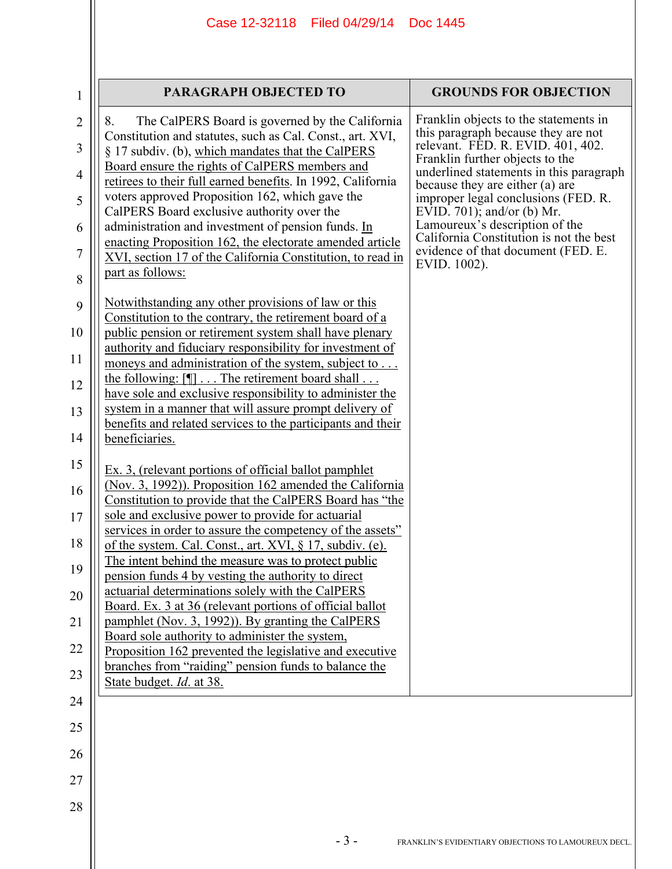|                | PARAGRAPH OBJECTED TO                                                                                                  | <b>GROUNDS FOR OBJECTION</b>                                                  |
|----------------|------------------------------------------------------------------------------------------------------------------------|-------------------------------------------------------------------------------|
| $\mathbf{1}$   |                                                                                                                        |                                                                               |
| 2              | The CalPERS Board is governed by the California<br>8.<br>Constitution and statutes, such as Cal. Const., art. XVI,     | Franklin objects to the statements in<br>this paragraph because they are not  |
| 3              | § 17 subdiv. (b), which mandates that the CalPERS                                                                      | relevant. FED. R. EVID. 401, 402.<br>Franklin further objects to the          |
| $\overline{4}$ | Board ensure the rights of CalPERS members and<br>retirees to their full earned benefits. In 1992, California          | underlined statements in this paragraph<br>because they are either (a) are    |
| 5              | voters approved Proposition 162, which gave the                                                                        | improper legal conclusions (FED. R.                                           |
| 6              | CalPERS Board exclusive authority over the<br>administration and investment of pension funds. In                       | EVID. 701); and/or (b) Mr.<br>Lamoureux's description of the                  |
| 7              | enacting Proposition 162, the electorate amended article<br>XVI, section 17 of the California Constitution, to read in | California Constitution is not the best<br>evidence of that document (FED. E. |
| 8              | part as follows:                                                                                                       | EVID. 1002).                                                                  |
|                | Notwithstanding any other provisions of law or this                                                                    |                                                                               |
| 9              | Constitution to the contrary, the retirement board of a                                                                |                                                                               |
| 10             | public pension or retirement system shall have plenary<br>authority and fiduciary responsibility for investment of     |                                                                               |
| 11             | moneys and administration of the system, subject to                                                                    |                                                                               |
| 12             | the following: $[\P]$ The retirement board shall<br>have sole and exclusive responsibility to administer the           |                                                                               |
| 13             | system in a manner that will assure prompt delivery of                                                                 |                                                                               |
| 14             | benefits and related services to the participants and their<br>beneficiaries.                                          |                                                                               |
| 15             |                                                                                                                        |                                                                               |
|                | Ex. 3, (relevant portions of official ballot pamphlet<br>(Nov. 3, 1992)). Proposition 162 amended the California       |                                                                               |
| 16             | Constitution to provide that the CalPERS Board has "the                                                                |                                                                               |
| 17             | sole and exclusive power to provide for actuarial<br>services in order to assure the competency of the assets"         |                                                                               |
| 18             | of the system. Cal. Const., art. XVI, § 17, subdiv. (e).                                                               |                                                                               |
| 19             | The intent behind the measure was to protect public<br>pension funds 4 by vesting the authority to direct              |                                                                               |
| 20             | actuarial determinations solely with the CalPERS                                                                       |                                                                               |
| 21             | Board. Ex. 3 at 36 (relevant portions of official ballot<br>pamphlet (Nov. 3, 1992)). By granting the CalPERS          |                                                                               |
| 22             | Board sole authority to administer the system,<br>Proposition 162 prevented the legislative and executive              |                                                                               |
| 23             | branches from "raiding" pension funds to balance the                                                                   |                                                                               |
|                | State budget. <i>Id.</i> at 38.                                                                                        |                                                                               |
| 24             |                                                                                                                        |                                                                               |
| 25             |                                                                                                                        |                                                                               |
| 26             |                                                                                                                        |                                                                               |
| 27             |                                                                                                                        |                                                                               |
| 28             |                                                                                                                        |                                                                               |
|                | $-3-$                                                                                                                  | FRANKLIN'S EVIDENTIARY OBJECTIONS TO LAMOUREUX DECL.                          |

 $\parallel$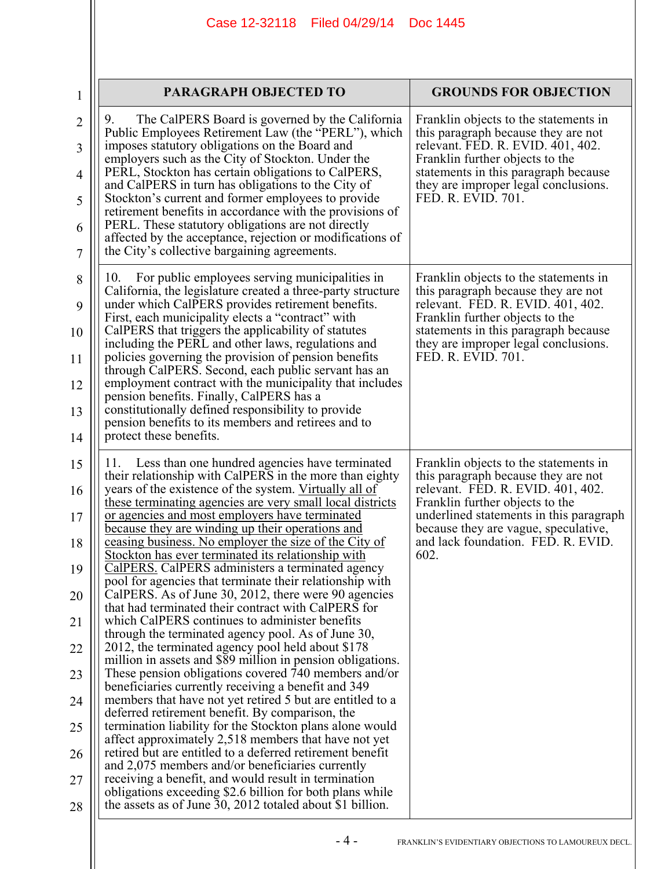|                | PARAGRAPH OBJECTED TO                                                                                                                                                     |                                                                                                    |
|----------------|---------------------------------------------------------------------------------------------------------------------------------------------------------------------------|----------------------------------------------------------------------------------------------------|
| $\mathbf{1}$   |                                                                                                                                                                           | <b>GROUNDS FOR OBJECTION</b>                                                                       |
| $\overline{2}$ | The CalPERS Board is governed by the California<br>9.<br>Public Employees Retirement Law (the "PERL"), which                                                              | Franklin objects to the statements in<br>this paragraph because they are not                       |
| 3              | imposes statutory obligations on the Board and<br>employers such as the City of Stockton. Under the                                                                       | relevant. FED. R. EVID. 401, 402.<br>Franklin further objects to the                               |
| 4<br>5         | PERL, Stockton has certain obligations to CalPERS,<br>and CalPERS in turn has obligations to the City of<br>Stockton's current and former employees to provide            | statements in this paragraph because<br>they are improper legal conclusions.<br>FED. R. EVID. 701. |
| 6              | retirement benefits in accordance with the provisions of<br>PERL. These statutory obligations are not directly                                                            |                                                                                                    |
| 7              | affected by the acceptance, rejection or modifications of<br>the City's collective bargaining agreements.                                                                 |                                                                                                    |
| 8              | 10.<br>For public employees serving municipalities in<br>California, the legislature created a three-party structure                                                      | Franklin objects to the statements in<br>this paragraph because they are not                       |
| 9              | under which CalPERS provides retirement benefits.<br>First, each municipality elects a "contract" with                                                                    | relevant. FED. R. EVID. 401, 402.<br>Franklin further objects to the                               |
| 10             | CalPERS that triggers the applicability of statutes<br>including the PERL and other laws, regulations and                                                                 | statements in this paragraph because<br>they are improper legal conclusions.                       |
| 11<br>12       | policies governing the provision of pension benefits<br>through CalPERS. Second, each public servant has an<br>employment contract with the municipality that includes    | FED. R. EVID. 701.                                                                                 |
| 13             | pension benefits. Finally, CalPERS has a<br>constitutionally defined responsibility to provide                                                                            |                                                                                                    |
| 14             | pension benefits to its members and retirees and to<br>protect these benefits.                                                                                            |                                                                                                    |
| 15             | Less than one hundred agencies have terminated<br>11.<br>their relationship with CalPERS in the more than eighty                                                          | Franklin objects to the statements in<br>this paragraph because they are not                       |
| 16             | years of the existence of the system. Virtually all of<br>these terminating agencies are very small local districts                                                       | relevant. FED. R. EVID. 401, 402.<br>Franklin further objects to the                               |
| 17             | or agencies and most employers have terminated<br>because they are winding up their operations and                                                                        | underlined statements in this paragraph<br>because they are vague, speculative,                    |
| 18<br>19       | ceasing business. No employer the size of the City of<br>Stockton has ever terminated its relationship with<br>CalPERS. CalPERS administers a terminated agency           | and lack foundation. FED. R. EVID.<br>602.                                                         |
| 20             | pool for agencies that terminate their relationship with<br>CalPERS. As of June 30, 2012, there were 90 agencies                                                          |                                                                                                    |
| 21             | that had terminated their contract with CalPERS for<br>which CalPERS continues to administer benefits                                                                     |                                                                                                    |
| 22             | through the terminated agency pool. As of June 30,<br>2012, the terminated agency pool held about \$178                                                                   |                                                                                                    |
| 23             | million in assets and \$89 million in pension obligations.<br>These pension obligations covered 740 members and/or<br>beneficiaries currently receiving a benefit and 349 |                                                                                                    |
| 24             | members that have not yet retired 5 but are entitled to a<br>deferred retirement benefit. By comparison, the                                                              |                                                                                                    |
| 25             | termination liability for the Stockton plans alone would<br>affect approximately 2,518 members that have not yet                                                          |                                                                                                    |
| 26             | retired but are entitled to a deferred retirement benefit<br>and 2,075 members and/or beneficiaries currently                                                             |                                                                                                    |
| 27             | receiving a benefit, and would result in termination<br>obligations exceeding \$2.6 billion for both plans while                                                          |                                                                                                    |
| 28             | the assets as of June 30, 2012 totaled about \$1 billion.                                                                                                                 |                                                                                                    |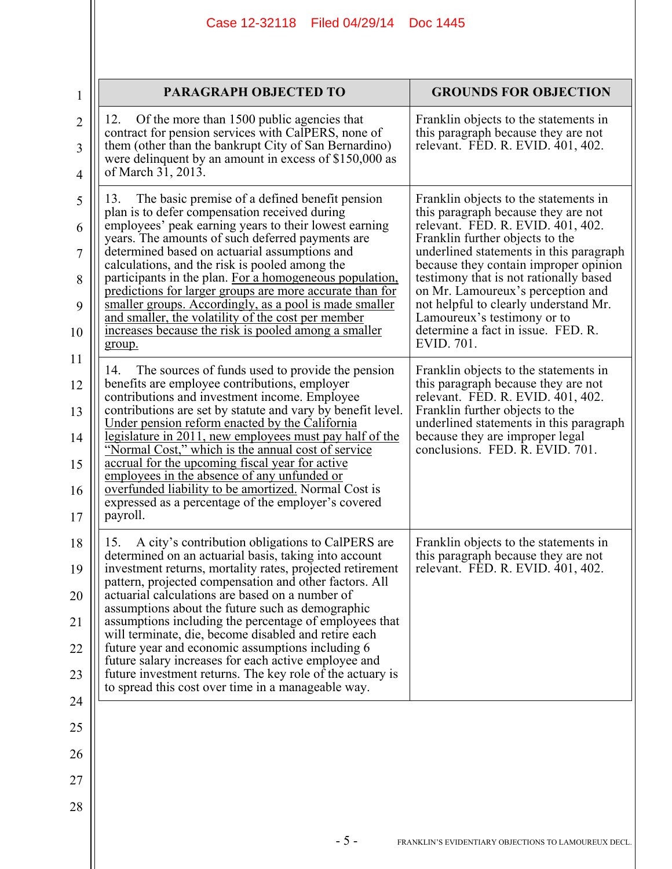| 1                                       | <b>PARAGRAPH OBJECTED TO</b>                                                                                                                                                                                                                                                                                                                                                                                                                                                                                                                                                                                                                                                                                                                | <b>GROUNDS FOR OBJECTION</b>                                                                                                                                                                                                                                                                                                                                                                                                                                                                                                        |
|-----------------------------------------|---------------------------------------------------------------------------------------------------------------------------------------------------------------------------------------------------------------------------------------------------------------------------------------------------------------------------------------------------------------------------------------------------------------------------------------------------------------------------------------------------------------------------------------------------------------------------------------------------------------------------------------------------------------------------------------------------------------------------------------------|-------------------------------------------------------------------------------------------------------------------------------------------------------------------------------------------------------------------------------------------------------------------------------------------------------------------------------------------------------------------------------------------------------------------------------------------------------------------------------------------------------------------------------------|
| $\overline{2}$<br>3<br>$\overline{4}$   | Of the more than 1500 public agencies that<br>12.<br>contract for pension services with CalPERS, none of<br>them (other than the bankrupt City of San Bernardino)<br>were delinquent by an amount in excess of \$150,000 as<br>of March 31, 2013.                                                                                                                                                                                                                                                                                                                                                                                                                                                                                           | Franklin objects to the statements in<br>this paragraph because they are not<br>relevant. FED. R. EVID. 401, 402.                                                                                                                                                                                                                                                                                                                                                                                                                   |
| 5<br>6<br>7<br>8<br>9<br>10<br>11<br>12 | The basic premise of a defined benefit pension<br>13.<br>plan is to defer compensation received during<br>employees' peak earning years to their lowest earning<br>years. The amounts of such deferred payments are<br>determined based on actuarial assumptions and<br>calculations, and the risk is pooled among the<br>participants in the plan. For a homogeneous population,<br>predictions for larger groups are more accurate than for<br>smaller groups. Accordingly, as a pool is made smaller<br>and smaller, the volatility of the cost per member<br>increases because the risk is pooled among a smaller<br>group.<br>The sources of funds used to provide the pension<br>14.<br>benefits are employee contributions, employer | Franklin objects to the statements in<br>this paragraph because they are not<br>relevant. FED. R. EVID. 401, 402.<br>Franklin further objects to the<br>underlined statements in this paragraph<br>because they contain improper opinion<br>testimony that is not rationally based<br>on Mr. Lamoureux's perception and<br>not helpful to clearly understand Mr.<br>Lamoureux's testimony or to<br>determine a fact in issue. FED. R.<br>EVID. 701.<br>Franklin objects to the statements in<br>this paragraph because they are not |
| 13<br>14<br>15<br>16<br>17              | contributions and investment income. Employee<br>contributions are set by statute and vary by benefit level.<br>Under pension reform enacted by the California<br><u>legislature in 2011, new employees must pay half of the</u><br>"Normal Cost," which is the annual cost of service<br>accrual for the upcoming fiscal year for active<br>employees in the absence of any unfunded or<br>overfunded liability to be amortized. Normal Cost is<br>expressed as a percentage of the employer's covered<br>payroll.                                                                                                                                                                                                                         | relevant. FED. R. EVID. 401, 402.<br>Franklin further objects to the<br>underlined statements in this paragraph<br>because they are improper legal<br>conclusions. FED. R. EVID. 701.                                                                                                                                                                                                                                                                                                                                               |
| 18<br>19<br>20<br>21<br>22<br>23<br>24  | A city's contribution obligations to CalPERS are<br>15.<br>determined on an actuarial basis, taking into account<br>investment returns, mortality rates, projected retirement<br>pattern, projected compensation and other factors. All<br>actuarial calculations are based on a number of<br>assumptions about the future such as demographic<br>assumptions including the percentage of employees that<br>will terminate, die, become disabled and retire each<br>future year and economic assumptions including 6<br>future salary increases for each active employee and<br>future investment returns. The key role of the actuary is<br>to spread this cost over time in a manageable way.                                             | Franklin objects to the statements in<br>this paragraph because they are not<br>relevant. FED. R. EVID. 401, 402.                                                                                                                                                                                                                                                                                                                                                                                                                   |
| 25                                      |                                                                                                                                                                                                                                                                                                                                                                                                                                                                                                                                                                                                                                                                                                                                             |                                                                                                                                                                                                                                                                                                                                                                                                                                                                                                                                     |
| 26                                      |                                                                                                                                                                                                                                                                                                                                                                                                                                                                                                                                                                                                                                                                                                                                             |                                                                                                                                                                                                                                                                                                                                                                                                                                                                                                                                     |
| 27                                      |                                                                                                                                                                                                                                                                                                                                                                                                                                                                                                                                                                                                                                                                                                                                             |                                                                                                                                                                                                                                                                                                                                                                                                                                                                                                                                     |
| 28                                      |                                                                                                                                                                                                                                                                                                                                                                                                                                                                                                                                                                                                                                                                                                                                             |                                                                                                                                                                                                                                                                                                                                                                                                                                                                                                                                     |
|                                         | $-5-$                                                                                                                                                                                                                                                                                                                                                                                                                                                                                                                                                                                                                                                                                                                                       | FRANKLIN'S EVIDENTIARY OBJECTIONS TO LAMOUREUX DECL.                                                                                                                                                                                                                                                                                                                                                                                                                                                                                |

 $\parallel$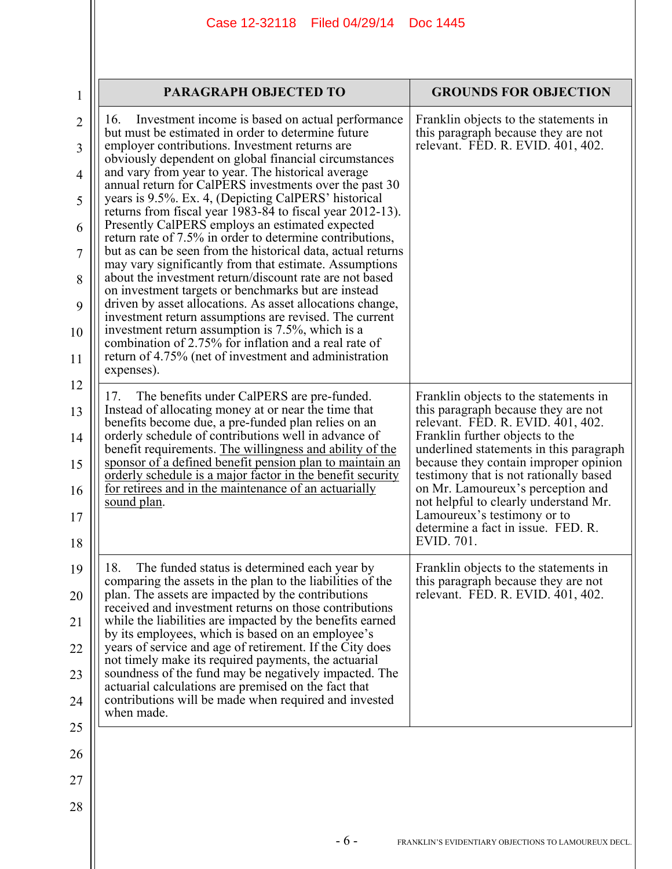| Franklin objects to the statements in<br>Investment income is based on actual performance<br>16.<br>but must be estimated in order to determine future<br>this paragraph because they are not<br>employer contributions. Investment returns are<br>relevant. FED. R. EVID. 401, 402.<br>obviously dependent on global financial circumstances<br>and vary from year to year. The historical average<br>annual return for CalPERS investments over the past 30<br>years is 9.5%. Ex. 4, (Depicting CalPERS' historical<br>returns from fiscal year 1983-84 to fiscal year 2012-13).<br>Presently CalPERS employs an estimated expected<br>return rate of 7.5% in order to determine contributions,<br>but as can be seen from the historical data, actual returns<br>may vary significantly from that estimate. Assumptions<br>about the investment return/discount rate are not based<br>on investment targets or benchmarks but are instead<br>driven by asset allocations. As asset allocations change,<br>investment return assumptions are revised. The current<br>investment return assumption is 7.5%, which is a<br>combination of 2.75% for inflation and a real rate of<br>return of 4.75% (net of investment and administration<br>expenses).<br>The benefits under CalPERS are pre-funded.<br>Franklin objects to the statements in<br>17.<br>Instead of allocating money at or near the time that<br>this paragraph because they are not<br>benefits become due, a pre-funded plan relies on an<br>relevant. FED. R. EVID. 401, 402.<br>orderly schedule of contributions well in advance of<br>Franklin further objects to the<br>underlined statements in this paragraph<br>benefit requirements. The willingness and ability of the<br>sponsor of a defined benefit pension plan to maintain an<br>because they contain improper opinion<br>orderly schedule is a major factor in the benefit security<br>testimony that is not rationally based<br>for retirees and in the maintenance of an actuarially<br>on Mr. Lamoureux's perception and<br>sound plan.<br>not helpful to clearly understand Mr.<br>Lamoureux's testimony or to<br>determine a fact in issue. FED, R.<br>EVID. 701.<br>18.<br>Franklin objects to the statements in<br>The funded status is determined each year by<br>comparing the assets in the plan to the liabilities of the<br>this paragraph because they are not<br>plan. The assets are impacted by the contributions<br>relevant. FED. R. EVID. 401, 402.<br>received and investment returns on those contributions<br>while the liabilities are impacted by the benefits earned<br>by its employees, which is based on an employee's<br>years of service and age of retirement. If the City does<br>not timely make its required payments, the actuarial<br>soundness of the fund may be negatively impacted. The<br>actuarial calculations are premised on the fact that<br>contributions will be made when required and invested<br>when made. | <b>PARAGRAPH OBJECTED TO</b> | <b>GROUNDS FOR OBJECTION</b> |  |
|--------------------------------------------------------------------------------------------------------------------------------------------------------------------------------------------------------------------------------------------------------------------------------------------------------------------------------------------------------------------------------------------------------------------------------------------------------------------------------------------------------------------------------------------------------------------------------------------------------------------------------------------------------------------------------------------------------------------------------------------------------------------------------------------------------------------------------------------------------------------------------------------------------------------------------------------------------------------------------------------------------------------------------------------------------------------------------------------------------------------------------------------------------------------------------------------------------------------------------------------------------------------------------------------------------------------------------------------------------------------------------------------------------------------------------------------------------------------------------------------------------------------------------------------------------------------------------------------------------------------------------------------------------------------------------------------------------------------------------------------------------------------------------------------------------------------------------------------------------------------------------------------------------------------------------------------------------------------------------------------------------------------------------------------------------------------------------------------------------------------------------------------------------------------------------------------------------------------------------------------------------------------------------------------------------------------------------------------------------------------------------------------------------------------------------------------------------------------------------------------------------------------------------------------------------------------------------------------------------------------------------------------------------------------------------------------------------------------------------------------------------------------------------------------------------------------------------------------------------------------------------------------------------------------------------------------------------------------------------------------------|------------------------------|------------------------------|--|
|                                                                                                                                                                                                                                                                                                                                                                                                                                                                                                                                                                                                                                                                                                                                                                                                                                                                                                                                                                                                                                                                                                                                                                                                                                                                                                                                                                                                                                                                                                                                                                                                                                                                                                                                                                                                                                                                                                                                                                                                                                                                                                                                                                                                                                                                                                                                                                                                                                                                                                                                                                                                                                                                                                                                                                                                                                                                                                                                                                                                  |                              |                              |  |
|                                                                                                                                                                                                                                                                                                                                                                                                                                                                                                                                                                                                                                                                                                                                                                                                                                                                                                                                                                                                                                                                                                                                                                                                                                                                                                                                                                                                                                                                                                                                                                                                                                                                                                                                                                                                                                                                                                                                                                                                                                                                                                                                                                                                                                                                                                                                                                                                                                                                                                                                                                                                                                                                                                                                                                                                                                                                                                                                                                                                  |                              |                              |  |
|                                                                                                                                                                                                                                                                                                                                                                                                                                                                                                                                                                                                                                                                                                                                                                                                                                                                                                                                                                                                                                                                                                                                                                                                                                                                                                                                                                                                                                                                                                                                                                                                                                                                                                                                                                                                                                                                                                                                                                                                                                                                                                                                                                                                                                                                                                                                                                                                                                                                                                                                                                                                                                                                                                                                                                                                                                                                                                                                                                                                  |                              |                              |  |
|                                                                                                                                                                                                                                                                                                                                                                                                                                                                                                                                                                                                                                                                                                                                                                                                                                                                                                                                                                                                                                                                                                                                                                                                                                                                                                                                                                                                                                                                                                                                                                                                                                                                                                                                                                                                                                                                                                                                                                                                                                                                                                                                                                                                                                                                                                                                                                                                                                                                                                                                                                                                                                                                                                                                                                                                                                                                                                                                                                                                  |                              |                              |  |

 $\parallel$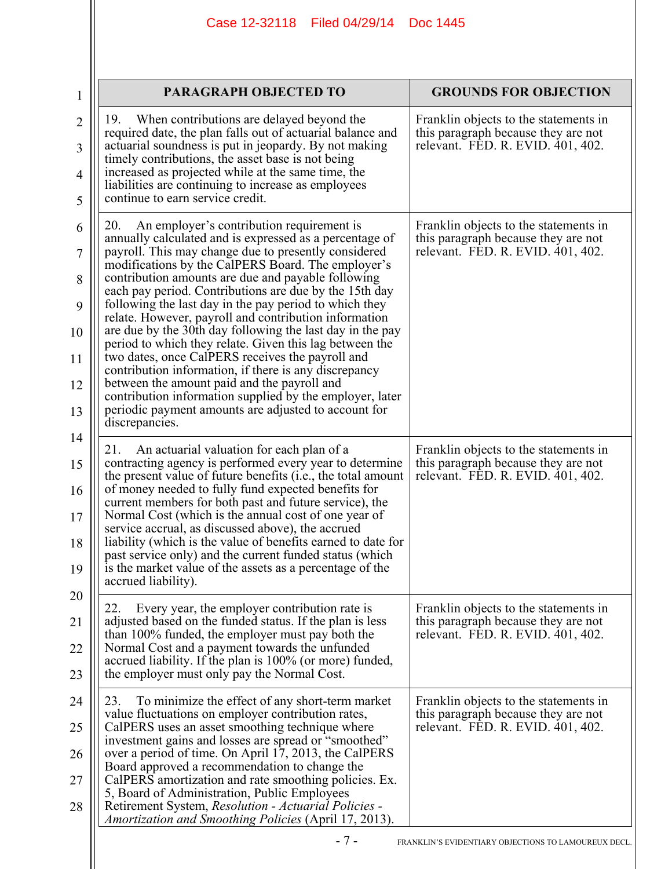| 1                                              | PARAGRAPH OBJECTED TO                                                                                                                                                                                                                                                                                                                                                                                                                                                                                                                                                                                                                                                                                                                                                                                                                                                                  | <b>GROUNDS FOR OBJECTION</b>                                                                                      |
|------------------------------------------------|----------------------------------------------------------------------------------------------------------------------------------------------------------------------------------------------------------------------------------------------------------------------------------------------------------------------------------------------------------------------------------------------------------------------------------------------------------------------------------------------------------------------------------------------------------------------------------------------------------------------------------------------------------------------------------------------------------------------------------------------------------------------------------------------------------------------------------------------------------------------------------------|-------------------------------------------------------------------------------------------------------------------|
| $\overline{2}$<br>3                            | When contributions are delayed beyond the<br>19.<br>required date, the plan falls out of actuarial balance and<br>actuarial soundness is put in jeopardy. By not making<br>timely contributions, the asset base is not being                                                                                                                                                                                                                                                                                                                                                                                                                                                                                                                                                                                                                                                           | Franklin objects to the statements in<br>this paragraph because they are not<br>relevant. FED. R. EVID. 401, 402. |
| 4<br>5                                         | increased as projected while at the same time, the<br>liabilities are continuing to increase as employees<br>continue to earn service credit.                                                                                                                                                                                                                                                                                                                                                                                                                                                                                                                                                                                                                                                                                                                                          |                                                                                                                   |
| 6<br>7<br>8<br>9<br>10<br>11<br>12<br>13<br>14 | An employer's contribution requirement is<br>20.<br>annually calculated and is expressed as a percentage of<br>payroll. This may change due to presently considered<br>modifications by the CalPERS Board. The employer's<br>contribution amounts are due and payable following<br>each pay period. Contributions are due by the 15th day<br>following the last day in the pay period to which they<br>relate. However, payroll and contribution information<br>are due by the 30th day following the last day in the pay<br>period to which they relate. Given this lag between the<br>two dates, once CalPERS receives the payroll and<br>contribution information, if there is any discrepancy<br>between the amount paid and the payroll and<br>contribution information supplied by the employer, later<br>periodic payment amounts are adjusted to account for<br>discrepancies. | Franklin objects to the statements in<br>this paragraph because they are not<br>relevant. FED. R. EVID. 401, 402. |
| 15<br>16<br>17<br>18<br>19                     | An actuarial valuation for each plan of a<br>21.<br>contracting agency is performed every year to determine<br>the present value of future benefits (i.e., the total amount<br>of money needed to fully fund expected benefits for<br>current members for both past and future service), the<br>Normal Cost (which is the annual cost of one year of<br>service accrual, as discussed above), the accrued<br>liability (which is the value of benefits earned to date for<br>past service only) and the current funded status (which<br>is the market value of the assets as a percentage of the<br>accrued liability).                                                                                                                                                                                                                                                                | Franklin objects to the statements in<br>this paragraph because they are not<br>relevant. FED. R. EVID. 401, 402. |
| 20<br>21<br>22<br>23                           | Every year, the employer contribution rate is<br>22.<br>adjusted based on the funded status. If the plan is less<br>than 100% funded, the employer must pay both the<br>Normal Cost and a payment towards the unfunded<br>accrued liability. If the plan is 100% (or more) funded,<br>the employer must only pay the Normal Cost.                                                                                                                                                                                                                                                                                                                                                                                                                                                                                                                                                      | Franklin objects to the statements in<br>this paragraph because they are not<br>relevant. FED. R. EVID. 401, 402. |
| 24<br>25<br>26<br>27<br>28                     | 23.<br>To minimize the effect of any short-term market<br>value fluctuations on employer contribution rates,<br>CalPERS uses an asset smoothing technique where<br>investment gains and losses are spread or "smoothed"<br>over a period of time. On April 17, 2013, the CalPERS<br>Board approved a recommendation to change the<br>CalPERS amortization and rate smoothing policies. Ex.<br>5, Board of Administration, Public Employees<br>Retirement System, Resolution - Actuarial Policies -<br>Amortization and Smoothing Policies (April 17, 2013).                                                                                                                                                                                                                                                                                                                            | Franklin objects to the statements in<br>this paragraph because they are not<br>relevant. FED. R. EVID. 401, 402. |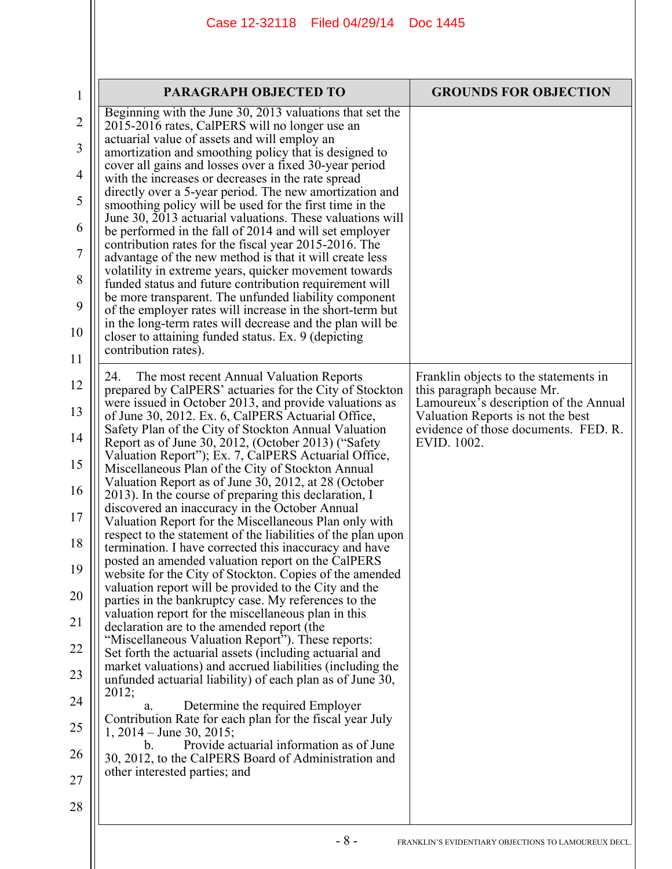| $\mathbf{1}$   | PARAGRAPH OBJECTED TO                                                                                                                                                    | <b>GROUNDS FOR OBJECTION</b>                                               |
|----------------|--------------------------------------------------------------------------------------------------------------------------------------------------------------------------|----------------------------------------------------------------------------|
| $\overline{2}$ | Beginning with the June 30, 2013 valuations that set the<br>2015-2016 rates, CalPERS will no longer use an                                                               |                                                                            |
| 3              | actuarial value of assets and will employ an<br>amortization and smoothing policy that is designed to                                                                    |                                                                            |
| $\overline{4}$ | cover all gains and losses over a fixed 30-year period<br>with the increases or decreases in the rate spread                                                             |                                                                            |
| 5              | directly over a 5-year period. The new amortization and<br>smoothing policy will be used for the first time in the                                                       |                                                                            |
| 6              | June 30, 2013 actuarial valuations. These valuations will<br>be performed in the fall of 2014 and will set employer                                                      |                                                                            |
| 7              | contribution rates for the fiscal year 2015-2016. The<br>advantage of the new method is that it will create less                                                         |                                                                            |
| 8              | volatility in extreme years, quicker movement towards<br>funded status and future contribution requirement will<br>be more transparent. The unfunded liability component |                                                                            |
| 9              | of the employer rates will increase in the short-term but<br>in the long-term rates will decrease and the plan will be                                                   |                                                                            |
| 10<br>11       | closer to attaining funded status. Ex. 9 (depicting<br>contribution rates).                                                                                              |                                                                            |
| 12             | 24.<br>The most recent Annual Valuation Reports<br>prepared by CalPERS' actuaries for the City of Stockton                                                               | Franklin objects to the statements in<br>this paragraph because Mr.        |
| 13             | were issued in October 2013, and provide valuations as<br>of June 30, 2012. Ex. 6, CalPERS Actuarial Office,                                                             | Lamoureux's description of the Annual<br>Valuation Reports is not the best |
| 14             | Safety Plan of the City of Stockton Annual Valuation<br>Report as of June 30, 2012, (October 2013) ("Safety                                                              | evidence of those documents. FED. R.<br>EVID. 1002.                        |
| 15             | Valuation Report"); Ex. 7, CalPERS Actuarial Office,<br>Miscellaneous Plan of the City of Stockton Annual                                                                |                                                                            |
| 16             | Valuation Report as of June 30, 2012, at 28 (October<br>2013). In the course of preparing this declaration, I                                                            |                                                                            |
| 17             | discovered an inaccuracy in the October Annual<br>Valuation Report for the Miscellaneous Plan only with<br>respect to the statement of the liabilities of the plan upon  |                                                                            |
| 18             | termination. I have corrected this inaccuracy and have<br>posted an amended valuation report on the CalPERS                                                              |                                                                            |
| 19<br>20       | website for the City of Stockton. Copies of the amended<br>valuation report will be provided to the City and the                                                         |                                                                            |
| 21             | parties in the bankruptcy case. My references to the<br>valuation report for the miscellaneous plan in this<br>declaration are to the amended report (the                |                                                                            |
| 22             | "Miscellaneous Valuation Report"). These reports:<br>Set forth the actuarial assets (including actuarial and                                                             |                                                                            |
| 23             | market valuations) and accrued liabilities (including the<br>unfunded actuarial liability) of each plan as of June 30,                                                   |                                                                            |
| 24             | 2012;<br>Determine the required Employer<br>a.                                                                                                                           |                                                                            |
| 25             | Contribution Rate for each plan for the fiscal year July<br>1, $2014 -$ June 30, $2015$ ;                                                                                |                                                                            |
| 26             | Provide actuarial information as of June<br>b.<br>30, 2012, to the CalPERS Board of Administration and                                                                   |                                                                            |
| 27             | other interested parties; and                                                                                                                                            |                                                                            |
| 28             |                                                                                                                                                                          |                                                                            |
|                | $-8-$                                                                                                                                                                    | FRANKLIN'S EVIDENTIARY OBJECTIONS TO LAMOUREUX DECL.                       |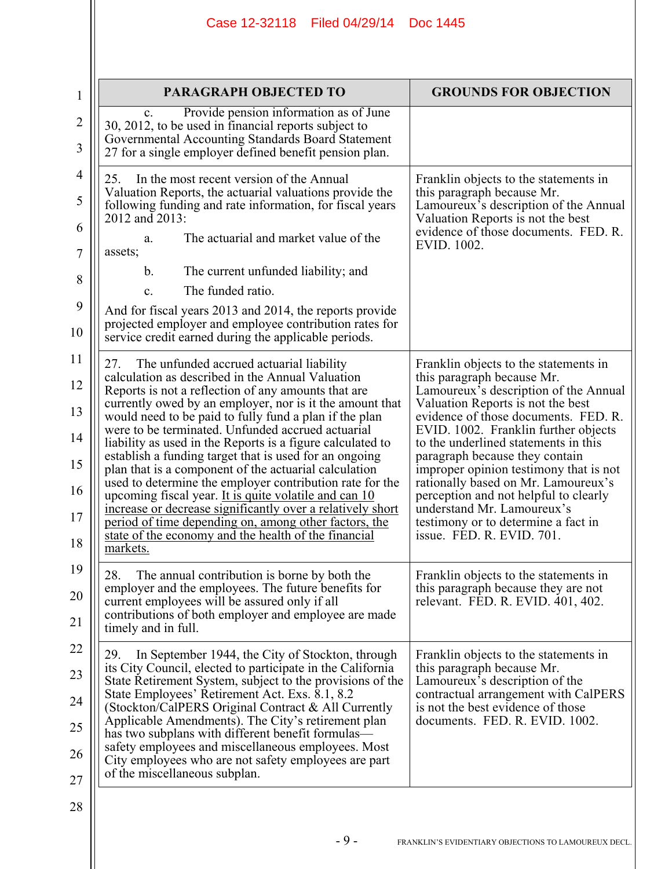|                | Case 12-32118 Filed 04/29/14                                                                                                          | Doc 1445                                                                                                 |
|----------------|---------------------------------------------------------------------------------------------------------------------------------------|----------------------------------------------------------------------------------------------------------|
|                |                                                                                                                                       |                                                                                                          |
|                |                                                                                                                                       |                                                                                                          |
| 1              | <b>PARAGRAPH OBJECTED TO</b>                                                                                                          | <b>GROUNDS FOR OBJECTION</b>                                                                             |
| $\overline{2}$ | Provide pension information as of June<br>$\mathbf{c}$ .<br>30, 2012, to be used in financial reports subject to                      |                                                                                                          |
| 3              | Governmental Accounting Standards Board Statement<br>27 for a single employer defined benefit pension plan.                           |                                                                                                          |
| $\overline{4}$ | In the most recent version of the Annual<br>25.                                                                                       | Franklin objects to the statements in                                                                    |
| 5              | Valuation Reports, the actuarial valuations provide the<br>following funding and rate information, for fiscal years<br>2012 and 2013: | this paragraph because Mr.<br>Lamoureux's description of the Annual<br>Valuation Reports is not the best |
| 6<br>7         | The actuarial and market value of the<br>a.<br>assets;                                                                                | evidence of those documents. FED. R.<br>EVID. 1002.                                                      |
| 8              | The current unfunded liability; and<br>b.                                                                                             |                                                                                                          |
|                | The funded ratio.<br>C <sub>1</sub>                                                                                                   |                                                                                                          |
| 9              | And for fiscal years 2013 and 2014, the reports provide<br>projected employer and employee contribution rates for                     |                                                                                                          |
| 10             | service credit earned during the applicable periods.                                                                                  |                                                                                                          |
| 11             | The unfunded accrued actuarial liability<br>27.                                                                                       | Franklin objects to the statements in                                                                    |
| 12             | calculation as described in the Annual Valuation<br>Reports is not a reflection of any amounts that are                               | this paragraph because Mr.<br>Lamoureux's description of the Annual                                      |
| 13             | currently owed by an employer, nor is it the amount that<br>would need to be paid to fully fund a plan if the plan                    | Valuation Reports is not the best<br>evidence of those documents. FED. R.                                |
| 14             | were to be terminated. Unfunded accrued actuarial<br>liability as used in the Reports is a figure calculated to                       | EVID. 1002. Franklin further objects<br>to the underlined statements in this                             |
| 15             | establish a funding target that is used for an ongoing<br>plan that is a component of the actuarial calculation                       | paragraph because they contain<br>improper opinion testimony that is not                                 |
| 16             | used to determine the employer contribution rate for the<br>upcoming fiscal year. It is quite volatile and can 10                     | rationally based on Mr. Lamoureux's<br>perception and not helpful to clearly                             |
| 17             | increase or decrease significantly over a relatively short<br>period of time depending on, among other factors, the                   | understand Mr. Lamoureux's<br>testimony or to determine a fact in                                        |
| 18             | state of the economy and the health of the financial                                                                                  | issue. FED. R. EVID. 701.                                                                                |
| 19             | markets.                                                                                                                              |                                                                                                          |
|                | 28.<br>The annual contribution is borne by both the<br>employer and the employees. The future benefits for                            | Franklin objects to the statements in<br>this paragraph because they are not                             |
| 20             | current employees will be assured only if all<br>contributions of both employer and employee are made                                 | relevant. FED. R. EVID. 401, 402.                                                                        |
| 21             | timely and in full.                                                                                                                   |                                                                                                          |
| 22             | In September 1944, the City of Stockton, through<br>29.                                                                               | Franklin objects to the statements in                                                                    |
| 23             | its City Council, elected to participate in the California<br>State Retirement System, subject to the provisions of the               | this paragraph because Mr.<br>Lamoureux's description of the                                             |
| 24             | State Employees' Retirement Act. Exs. 8.1, 8.2<br>(Stockton/CalPERS Original Contract & All Currently                                 | contractual arrangement with CalPERS<br>is not the best evidence of those                                |
| 25             | Applicable Amendments). The City's retirement plan<br>has two subplans with different benefit formulas—                               | documents. FED. R. EVID. 1002.                                                                           |
| 26             | safety employees and miscellaneous employees. Most<br>City employees who are not safety employees are part                            |                                                                                                          |
| 27             | of the miscellaneous subplan.                                                                                                         |                                                                                                          |
| 28             |                                                                                                                                       |                                                                                                          |
|                |                                                                                                                                       |                                                                                                          |
|                | $-9-$                                                                                                                                 | FRANKLIN'S EVIDENTIARY OBJECTIONS TO LAMOUREUX DECL.                                                     |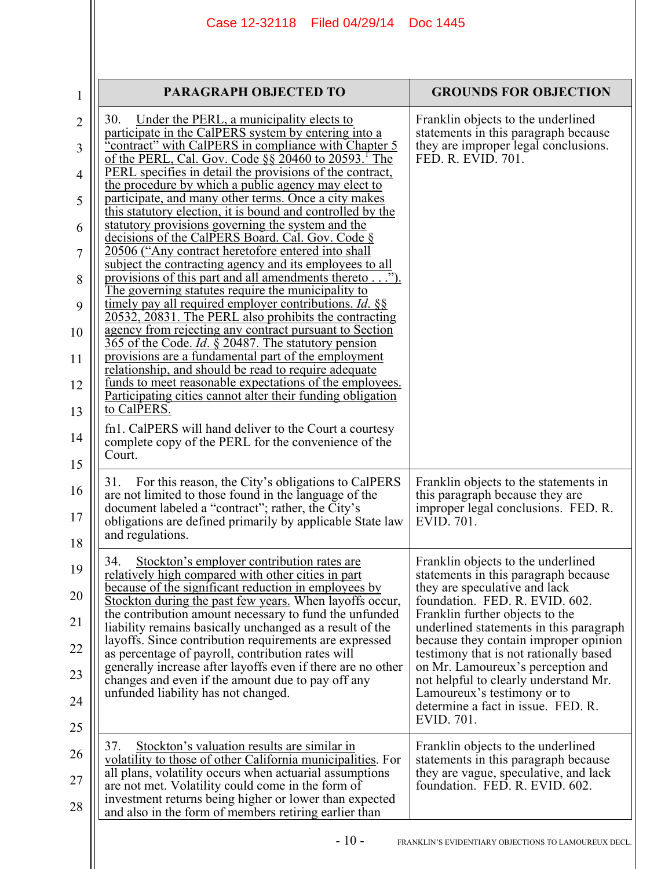| $\mathbf{1}$   | <b>PARAGRAPH OBJECTED TO</b>                                                                                           | <b>GROUNDS FOR OBJECTION</b>                                                    |
|----------------|------------------------------------------------------------------------------------------------------------------------|---------------------------------------------------------------------------------|
| $\overline{2}$ | 30.<br>Under the PERL, a municipality elects to<br>participate in the CalPERS system by entering into a                | Franklin objects to the underlined<br>statements in this paragraph because      |
| 3              | 'contract" with CalPERS in compliance with Chapter 5<br>of the PERL, Cal. Gov. Code $\S$ § 20460 to 20593. The         | they are improper legal conclusions.<br>FED. R. EVID. 701.                      |
| 4              | PERL specifies in detail the provisions of the contract,<br>the procedure by which a public agency may elect to        |                                                                                 |
| 5              | participate, and many other terms. Once a city makes<br>this statutory election, it is bound and controlled by the     |                                                                                 |
| 6              | statutory provisions governing the system and the                                                                      |                                                                                 |
| 7              | decisions of the CalPERS Board. Cal. Gov. Code §<br>20506 ("Any contract heretofore entered into shall                 |                                                                                 |
| 8              | subject the contracting agency and its employees to all<br>provisions of this part and all amendments thereto ").      |                                                                                 |
| 9              | The governing statutes require the municipality to<br>timely pay all required employer contributions. <i>Id.</i> §§    |                                                                                 |
| 10             | 20532, 20831. The PERL also prohibits the contracting<br>agency from rejecting any contract pursuant to Section        |                                                                                 |
| 11             | 365 of the Code. <i>Id.</i> § 20487. The statutory pension<br>provisions are a fundamental part of the employment      |                                                                                 |
|                | relationship, and should be read to require adequate<br>funds to meet reasonable expectations of the employees.        |                                                                                 |
| 12             | Participating cities cannot alter their funding obligation<br>to CalPERS.                                              |                                                                                 |
| 13             | fn1. CalPERS will hand deliver to the Court a courtesy                                                                 |                                                                                 |
| 14             | complete copy of the PERL for the convenience of the<br>Court.                                                         |                                                                                 |
| 15             | For this reason, the City's obligations to CalPERS<br>31.                                                              | Franklin objects to the statements in                                           |
| 16             | are not limited to those found in the language of the<br>document labeled a "contract"; rather, the City's             | this paragraph because they are<br>improper legal conclusions. FED. R.          |
| 17             | obligations are defined primarily by applicable State law<br>and regulations.                                          | EVID. 701.                                                                      |
| 18             |                                                                                                                        |                                                                                 |
| 19             | Stockton's employer contribution rates are<br>34.<br>relatively high compared with other cities in part                | Franklin objects to the underlined<br>statements in this paragraph because      |
| 20             | <u>because of the significant reduction in employees by</u><br>Stockton during the past few years. When layoffs occur, | they are speculative and lack<br>foundation. FED. R. EVID. 602.                 |
| 21             | the contribution amount necessary to fund the unfunded<br>liability remains basically unchanged as a result of the     | Franklin further objects to the<br>underlined statements in this paragraph      |
| 22             | layoffs. Since contribution requirements are expressed<br>as percentage of payroll, contribution rates will            | because they contain improper opinion<br>testimony that is not rationally based |
| 23             | generally increase after layoffs even if there are no other<br>changes and even if the amount due to pay off any       | on Mr. Lamoureux's perception and<br>not helpful to clearly understand Mr.      |
| 24             | unfunded liability has not changed.                                                                                    | Lamoureux's testimony or to<br>determine a fact in issue. FED. R.               |
| 25             |                                                                                                                        | EVID. 701.                                                                      |
| 26             | 37.<br>Stockton's valuation results are similar in<br>volatility to those of other California municipalities. For      | Franklin objects to the underlined<br>statements in this paragraph because      |
| 27             | all plans, volatility occurs when actuarial assumptions                                                                | they are vague, speculative, and lack                                           |
| 28             | are not met. Volatility could come in the form of<br>investment returns being higher or lower than expected            | foundation. FED. R. EVID. 602.                                                  |
|                | and also in the form of members retiring earlier than                                                                  |                                                                                 |
|                | $-10-$                                                                                                                 | FRANKLIN'S EVIDENTIARY OBJECTIONS TO LAMOUREUX DECL.                            |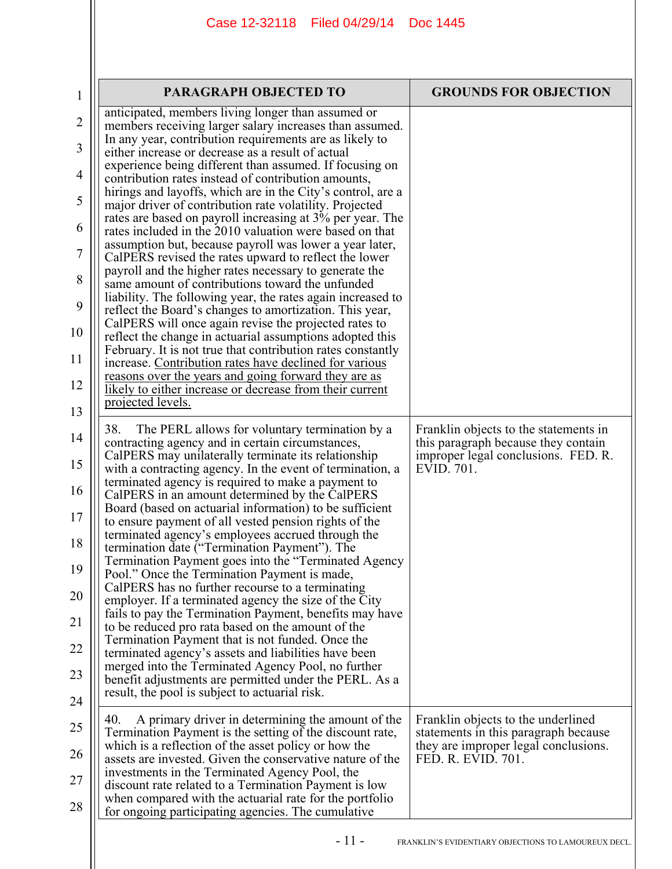| 1  | <b>PARAGRAPH OBJECTED TO</b>                                                                                                                                                  | <b>GROUNDS FOR OBJECTION</b>                                                 |  |  |
|----|-------------------------------------------------------------------------------------------------------------------------------------------------------------------------------|------------------------------------------------------------------------------|--|--|
| 2  | anticipated, members living longer than assumed or<br>members receiving larger salary increases than assumed.                                                                 |                                                                              |  |  |
| 3  | In any year, contribution requirements are as likely to<br>either increase or decrease as a result of actual                                                                  |                                                                              |  |  |
| 4  | experience being different than assumed. If focusing on                                                                                                                       |                                                                              |  |  |
| 5  | contribution rates instead of contribution amounts,<br>hirings and layoffs, which are in the City's control, are a<br>major driver of contribution rate volatility. Projected |                                                                              |  |  |
| 6  | rates are based on payroll increasing at 3% per year. The<br>rates included in the 2010 valuation were based on that                                                          |                                                                              |  |  |
| 7  | assumption but, because payroll was lower a year later,<br>CalPERS revised the rates upward to reflect the lower                                                              |                                                                              |  |  |
| 8  | payroll and the higher rates necessary to generate the<br>same amount of contributions toward the unfunded                                                                    |                                                                              |  |  |
| 9  | liability. The following year, the rates again increased to<br>reflect the Board's changes to amortization. This year,                                                        |                                                                              |  |  |
| 10 | CalPERS will once again revise the projected rates to<br>reflect the change in actuarial assumptions adopted this                                                             |                                                                              |  |  |
| 11 | February. It is not true that contribution rates constantly<br>increase. Contribution rates have declined for various                                                         |                                                                              |  |  |
| 12 | reasons over the years and going forward they are as<br>likely to either increase or decrease from their current                                                              |                                                                              |  |  |
| 13 | projected levels.                                                                                                                                                             |                                                                              |  |  |
| 14 | 38.<br>The PERL allows for voluntary termination by a<br>contracting agency and in certain circumstances,                                                                     | Franklin objects to the statements in<br>this paragraph because they contain |  |  |
| 15 | CalPERS may unilaterally terminate its relationship<br>with a contracting agency. In the event of termination, a                                                              | improper legal conclusions. FED. R.<br>EVID. 701.                            |  |  |
| 16 | terminated agency is required to make a payment to<br>CalPERS in an amount determined by the CalPERS                                                                          |                                                                              |  |  |
| 17 | Board (based on actuarial information) to be sufficient<br>to ensure payment of all vested pension rights of the                                                              |                                                                              |  |  |
| 18 | terminated agency's employees accrued through the<br>termination date ("Termination Payment"). The                                                                            |                                                                              |  |  |
| 19 | Termination Payment goes into the "Terminated Agency<br>Pool." Once the Termination Payment is made,                                                                          |                                                                              |  |  |
| 20 | CalPERS has no further recourse to a terminating<br>employer. If a terminated agency the size of the City                                                                     |                                                                              |  |  |
| 21 | fails to pay the Termination Payment, benefits may have<br>to be reduced pro rata based on the amount of the                                                                  |                                                                              |  |  |
| 22 | Termination Payment that is not funded. Once the<br>terminated agency's assets and liabilities have been                                                                      |                                                                              |  |  |
| 23 | merged into the Terminated Agency Pool, no further<br>benefit adjustments are permitted under the PERL. As a                                                                  |                                                                              |  |  |
| 24 | result, the pool is subject to actuarial risk.                                                                                                                                |                                                                              |  |  |
| 25 | A primary driver in determining the amount of the<br>40.<br>Termination Payment is the setting of the discount rate,                                                          | Franklin objects to the underlined<br>statements in this paragraph because   |  |  |
| 26 | which is a reflection of the asset policy or how the<br>assets are invested. Given the conservative nature of the                                                             | they are improper legal conclusions.<br>FED. R. EVID. 701.                   |  |  |
| 27 | investments in the Terminated Agency Pool, the<br>discount rate related to a Termination Payment is low                                                                       |                                                                              |  |  |
| 28 | when compared with the actuarial rate for the portfolio<br>for ongoing participating agencies. The cumulative                                                                 |                                                                              |  |  |
|    | - 11 -                                                                                                                                                                        | FRANKLIN'S EVIDENTIARY OBJECTIONS TO LAMOUREUX DECL.                         |  |  |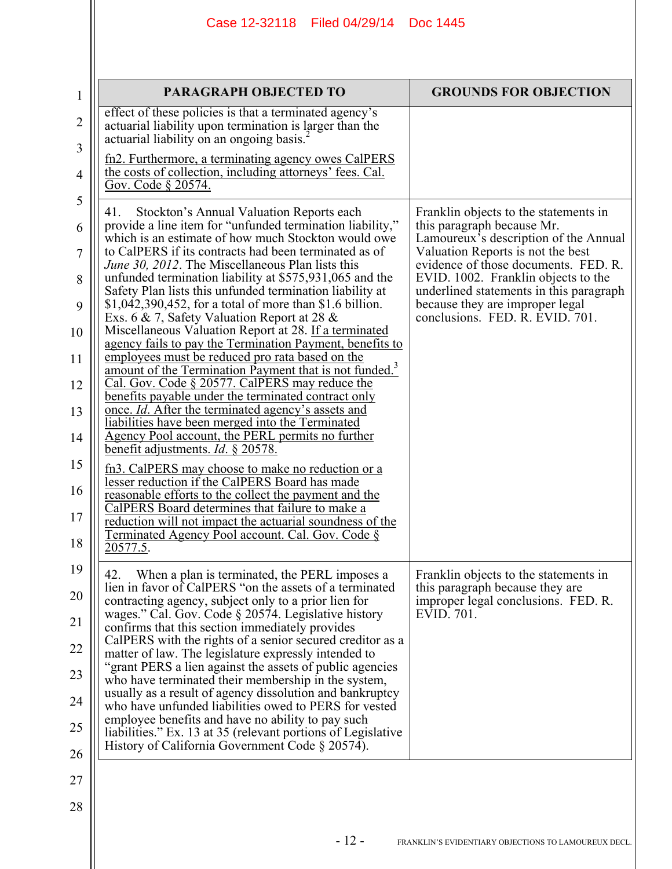|                                                                                                | Case 12-32118   Filed 04/29/14<br>Doc 1445                                                                                                                                                                                                                                                                                                                                                                                                                                                                                                                                                                                                                                                                                                                                                                                                                                                                                                                                                                                                                                                                                                                                                                                                                                                                                                                                                                                        |  |                                                                                                                                                                                                                                                                                                                                                   |
|------------------------------------------------------------------------------------------------|-----------------------------------------------------------------------------------------------------------------------------------------------------------------------------------------------------------------------------------------------------------------------------------------------------------------------------------------------------------------------------------------------------------------------------------------------------------------------------------------------------------------------------------------------------------------------------------------------------------------------------------------------------------------------------------------------------------------------------------------------------------------------------------------------------------------------------------------------------------------------------------------------------------------------------------------------------------------------------------------------------------------------------------------------------------------------------------------------------------------------------------------------------------------------------------------------------------------------------------------------------------------------------------------------------------------------------------------------------------------------------------------------------------------------------------|--|---------------------------------------------------------------------------------------------------------------------------------------------------------------------------------------------------------------------------------------------------------------------------------------------------------------------------------------------------|
|                                                                                                | PARAGRAPH OBJECTED TO                                                                                                                                                                                                                                                                                                                                                                                                                                                                                                                                                                                                                                                                                                                                                                                                                                                                                                                                                                                                                                                                                                                                                                                                                                                                                                                                                                                                             |  | <b>GROUNDS FOR OBJECTION</b>                                                                                                                                                                                                                                                                                                                      |
| $\overline{2}$<br>3<br>$\overline{4}$<br>Gov. Code § 20574.                                    | effect of these policies is that a terminated agency's<br>actuarial liability upon termination is larger than the<br>actuarial liability on an ongoing basis. <sup>2</sup><br>fn2. Furthermore, a terminating agency owes CalPERS<br>the costs of collection, including attorneys' fees. Cal.                                                                                                                                                                                                                                                                                                                                                                                                                                                                                                                                                                                                                                                                                                                                                                                                                                                                                                                                                                                                                                                                                                                                     |  |                                                                                                                                                                                                                                                                                                                                                   |
| 5<br>41.<br>6<br>7<br>8<br>9<br>10<br>11<br>12<br>13<br>14<br>15<br>16<br>17<br>18<br>20577.5. | Stockton's Annual Valuation Reports each<br>provide a line item for "unfunded termination liability,"<br>which is an estimate of how much Stockton would owe<br>to CalPERS if its contracts had been terminated as of<br><i>June 30, 2012</i> . The Miscellaneous Plan lists this<br>unfunded termination liability at \$575,931,065 and the<br>Safety Plan lists this unfunded termination liability at<br>$$1,042,390,452$ , for a total of more than $$1.6$ billion.<br>Exs. 6 & 7, Safety Valuation Report at 28 &<br>Miscellaneous Valuation Report at 28. If a terminated<br>agency fails to pay the Termination Payment, benefits to<br>employees must be reduced pro rata based on the<br>amount of the Termination Payment that is not funded. <sup>3</sup><br>Cal. Gov. Code § 20577. CalPERS may reduce the<br>benefits payable under the terminated contract only<br>once. <i>Id.</i> After the terminated agency's assets and<br>liabilities have been merged into the Terminated<br>Agency Pool account, the PERL permits no further<br>benefit adjustments. <i>Id.</i> § 20578.<br>fn3. CalPERS may choose to make no reduction or a<br>lesser reduction if the CalPERS Board has made<br>reasonable efforts to the collect the payment and the<br>CalPERS Board determines that failure to make a<br>reduction will not impact the actuarial soundness of the<br>Terminated Agency Pool account. Cal. Gov. Code § |  | Franklin objects to the statements in<br>this paragraph because Mr.<br>Lamoureux's description of the Annual<br>Valuation Reports is not the best<br>evidence of those documents. FED. R.<br>EVID. 1002. Franklin objects to the<br>underlined statements in this paragraph<br>because they are improper legal<br>conclusions. FED. R. EVID. 701. |
| 19<br>42.<br>20<br>22<br>23<br>24<br>25<br>26                                                  | When a plan is terminated, the PERL imposes a<br>lien in favor of CalPERS "on the assets of a terminated<br>contracting agency, subject only to a prior lien for<br>wages." Cal. Gov. Code § 20574. Legislative history<br>confirms that this section immediately provides<br>CalPERS with the rights of a senior secured creditor as a<br>matter of law. The legislature expressly intended to<br>"grant PERS a lien against the assets of public agencies<br>who have terminated their membership in the system,<br>usually as a result of agency dissolution and bankruptcy<br>who have unfunded liabilities owed to PERS for vested<br>employee benefits and have no ability to pay such<br>liabilities." Ex. 13 at 35 (relevant portions of Legislative<br>History of California Government Code § 20574).                                                                                                                                                                                                                                                                                                                                                                                                                                                                                                                                                                                                                   |  | Franklin objects to the statements in<br>this paragraph because they are<br>improper legal conclusions. FED. R.<br>EVID. 701.                                                                                                                                                                                                                     |
| 27<br>28                                                                                       |                                                                                                                                                                                                                                                                                                                                                                                                                                                                                                                                                                                                                                                                                                                                                                                                                                                                                                                                                                                                                                                                                                                                                                                                                                                                                                                                                                                                                                   |  |                                                                                                                                                                                                                                                                                                                                                   |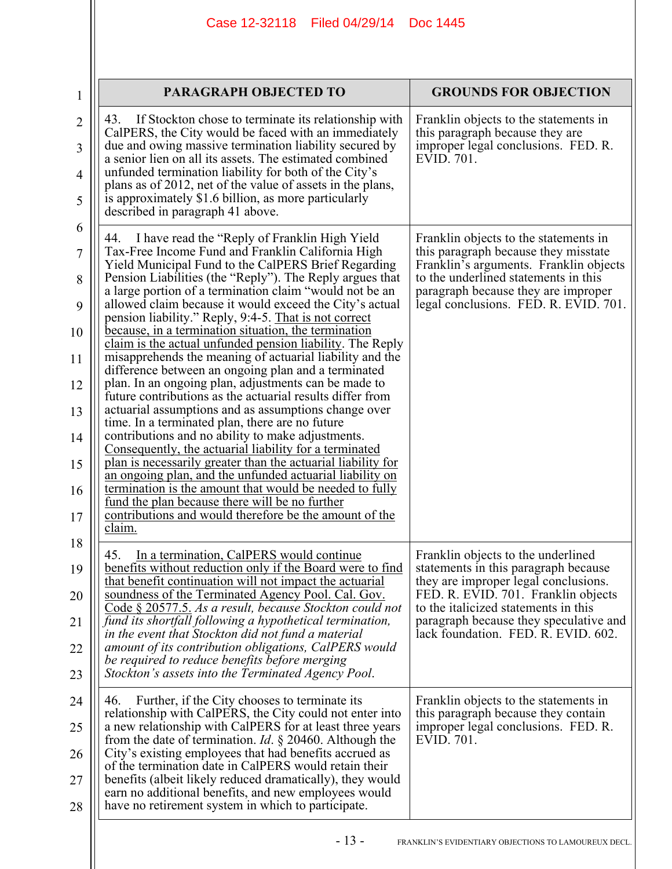| Case 12-32118 Filed 04/29/14 | <b>Doc 1445</b> |
|------------------------------|-----------------|
|                              |                 |

| $\mathbf{1}$   | PARAGRAPH OBJECTED TO                                                                                                                                                      | <b>GROUNDS FOR OBJECTION</b>                                                   |
|----------------|----------------------------------------------------------------------------------------------------------------------------------------------------------------------------|--------------------------------------------------------------------------------|
| $\overline{c}$ | 43.<br>If Stockton chose to terminate its relationship with<br>CalPERS, the City would be faced with an immediately                                                        | Franklin objects to the statements in<br>this paragraph because they are       |
| 3              | due and owing massive termination liability secured by<br>a senior lien on all its assets. The estimated combined<br>unfunded termination liability for both of the City's | improper legal conclusions. FED. R.<br>EVID. 701.                              |
| 4<br>5         | plans as of 2012, net of the value of assets in the plans,<br>is approximately \$1.6 billion, as more particularly                                                         |                                                                                |
| 6              | described in paragraph 41 above.                                                                                                                                           |                                                                                |
| 7              | I have read the "Reply of Franklin High Yield"<br>44.<br>Tax-Free Income Fund and Franklin California High                                                                 | Franklin objects to the statements in<br>this paragraph because they misstate  |
| 8              | Yield Municipal Fund to the CalPERS Brief Regarding<br>Pension Liabilities (the "Reply"). The Reply argues that                                                            | Franklin's arguments. Franklin objects<br>to the underlined statements in this |
| 9              | a large portion of a termination claim "would not be an<br>allowed claim because it would exceed the City's actual                                                         | paragraph because they are improper<br>legal conclusions. FED. R. EVID. 701.   |
| 10             | pension liability." Reply, 9:4-5. That is not correct<br>because, in a termination situation, the termination                                                              |                                                                                |
| 11             | claim is the actual unfunded pension liability. The Reply<br>misapprehends the meaning of actuarial liability and the                                                      |                                                                                |
| 12             | difference between an ongoing plan and a terminated<br>plan. In an ongoing plan, adjustments can be made to<br>future contributions as the actuarial results differ from   |                                                                                |
| 13             | actuarial assumptions and as assumptions change over<br>time. In a terminated plan, there are no future                                                                    |                                                                                |
| 14             | contributions and no ability to make adjustments.<br>Consequently, the actuarial liability for a terminated                                                                |                                                                                |
| 15             | plan is necessarily greater than the actuarial liability for<br>an ongoing plan, and the unfunded actuarial liability on                                                   |                                                                                |
| 16             | termination is the amount that would be needed to fully<br>fund the plan because there will be no further                                                                  |                                                                                |
| 17             | contributions and would therefore be the amount of the<br>claim.                                                                                                           |                                                                                |
| 18             | 45.<br>In a termination, CalPERS would continue                                                                                                                            | Franklin objects to the underlined                                             |
| 19             | benefits without reduction only if the Board were to find<br>that benefit continuation will not impact the actuarial                                                       | statements in this paragraph because<br>they are improper legal conclusions.   |
| 20             | soundness of the Terminated Agency Pool. Cal. Gov.<br>Code § 20577.5. As a result, because Stockton could not                                                              | FED. R. EVID. 701. Franklin objects<br>to the italicized statements in this    |
| 21             | fund its shortfall following a hypothetical termination,<br>in the event that Stockton did not fund a material                                                             | paragraph because they speculative and<br>lack foundation. FED. R. EVID. 602.  |
| 22             | amount of its contribution obligations, CalPERS would<br>be required to reduce benefits before merging                                                                     |                                                                                |
| 23             | Stockton's assets into the Terminated Agency Pool.                                                                                                                         |                                                                                |
| 24             | Further, if the City chooses to terminate its<br>46.<br>relationship with CalPERS, the City could not enter into                                                           | Franklin objects to the statements in<br>this paragraph because they contain   |
| 25             | a new relationship with CalPERS for at least three years<br>from the date of termination. <i>Id.</i> $\S$ 20460. Although the                                              | improper legal conclusions. FED. R.<br>EVID. 701.                              |
| 26             | City's existing employees that had benefits accrued as<br>of the termination date in CalPERS would retain their                                                            |                                                                                |
| 27             | benefits (albeit likely reduced dramatically), they would<br>earn no additional benefits, and new employees would                                                          |                                                                                |
| 28             | have no retirement system in which to participate.                                                                                                                         |                                                                                |
|                |                                                                                                                                                                            |                                                                                |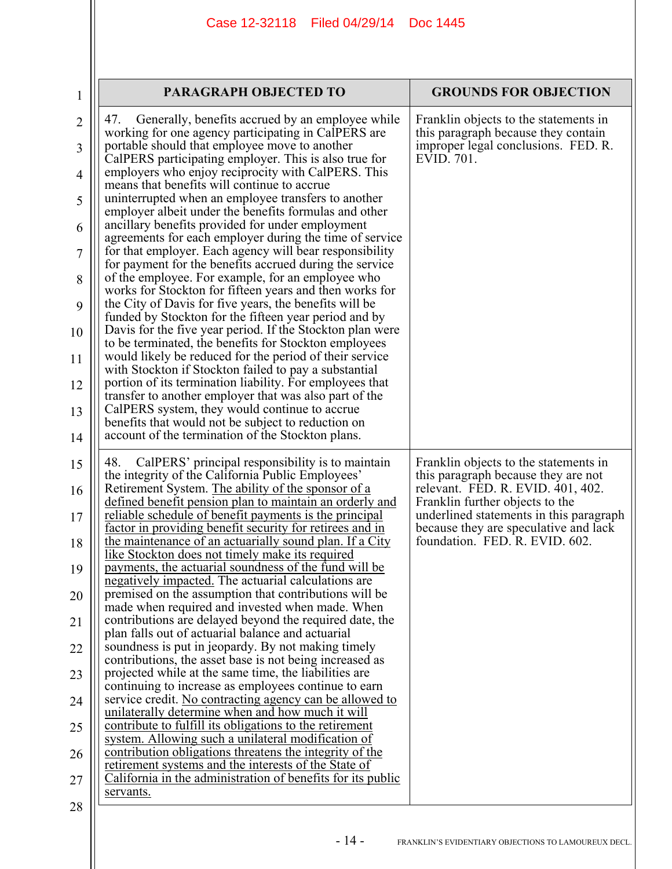| $\mathbf{1}$   | <b>PARAGRAPH OBJECTED TO</b>                                                                                                                                            | <b>GROUNDS FOR OBJECTION</b>                                                     |
|----------------|-------------------------------------------------------------------------------------------------------------------------------------------------------------------------|----------------------------------------------------------------------------------|
| $\overline{2}$ | 47.<br>Generally, benefits accrued by an employee while<br>working for one agency participating in CalPERS are                                                          | Franklin objects to the statements in<br>this paragraph because they contain     |
| 3              | portable should that employee move to another<br>CalPERS participating employer. This is also true for                                                                  | improper legal conclusions. FED. R.<br>EVID. 701.                                |
| 4              | employers who enjoy reciprocity with CalPERS. This<br>means that benefits will continue to accrue.                                                                      |                                                                                  |
| 5              | uninterrupted when an employee transfers to another<br>employer albeit under the benefits formulas and other                                                            |                                                                                  |
| 6              | ancillary benefits provided for under employment<br>agreements for each employer during the time of service                                                             |                                                                                  |
| 7              | for that employer. Each agency will bear responsibility<br>for payment for the benefits accrued during the service<br>of the employee. For example, for an employee who |                                                                                  |
| 8<br>9         | works for Stockton for fifteen years and then works for<br>the City of Davis for five years, the benefits will be                                                       |                                                                                  |
| 10             | funded by Stockton for the fifteen year period and by<br>Davis for the five year period. If the Stockton plan were                                                      |                                                                                  |
| 11             | to be terminated, the benefits for Stockton employees<br>would likely be reduced for the period of their service                                                        |                                                                                  |
| 12             | with Stockton if Stockton failed to pay a substantial<br>portion of its termination liability. For employees that                                                       |                                                                                  |
| 13             | transfer to another employer that was also part of the<br>CalPERS system, they would continue to accrue                                                                 |                                                                                  |
| 14             | benefits that would not be subject to reduction on<br>account of the termination of the Stockton plans.                                                                 |                                                                                  |
| 15             | 48.<br>CalPERS' principal responsibility is to maintain<br>the integrity of the California Public Employees'                                                            | Franklin objects to the statements in<br>this paragraph because they are not     |
| 16             | Retirement System. The ability of the sponsor of a<br>defined benefit pension plan to maintain an orderly and                                                           | relevant. FED. R. EVID. 401, 402.<br>Franklin further objects to the             |
| 17             | <u>reliable schedule of benefit payments is the principal</u><br>factor in providing benefit security for retirees and in                                               | underlined statements in this paragraph<br>because they are speculative and lack |
| 18             | the maintenance of an actuarially sound plan. If a City<br>like Stockton does not timely make its required                                                              | foundation. FED. R. EVID. 602.                                                   |
| 19<br>20       | payments, the actuarial soundness of the fund will be<br>negatively impacted. The actuarial calculations are<br>premised on the assumption that contributions will be   |                                                                                  |
| 21             | made when required and invested when made. When<br>contributions are delayed beyond the required date, the                                                              |                                                                                  |
| 22             | plan falls out of actuarial balance and actuarial<br>soundness is put in jeopardy. By not making timely                                                                 |                                                                                  |
| 23             | contributions, the asset base is not being increased as<br>projected while at the same time, the liabilities are                                                        |                                                                                  |
| 24             | continuing to increase as employees continue to earn<br>service credit. No contracting agency can be allowed to                                                         |                                                                                  |
| 25             | unilaterally determine when and how much it will<br>contribute to fulfill its obligations to the retirement                                                             |                                                                                  |
| 26             | system. Allowing such a unilateral modification of<br>contribution obligations threatens the integrity of the                                                           |                                                                                  |
| 27             | retirement systems and the interests of the State of<br>California in the administration of benefits for its public                                                     |                                                                                  |
| 28             | servants.                                                                                                                                                               |                                                                                  |
|                |                                                                                                                                                                         |                                                                                  |